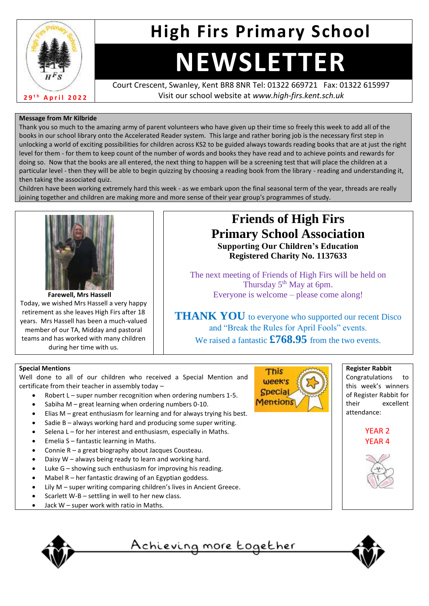

# **High Firs Primary School**

# **NEWSLETTER**

Court Crescent, Swanley, Kent BR8 8NR Tel: 01322 669721 Fax: 01322 615997 Visit our school website at *www.high-firs.kent.sch.uk*

# **Message from Mr Kilbride**

Thank you so much to the amazing army of parent volunteers who have given up their time so freely this week to add all of the books in our school library onto the Accelerated Reader system. This large and rather boring job is the necessary first step in unlocking a world of exciting possibilities for children across KS2 to be guided always towards reading books that are at just the right level for them - for them to keep count of the number of words and books they have read and to achieve points and rewards for doing so. Now that the books are all entered, the next thing to happen will be a screening test that will place the children at a particular level - then they will be able to begin quizzing by choosing a reading book from the library - reading and understanding it, then taking the associated quiz.

Children have been working extremely hard this week - as we embark upon the final seasonal term of the year, threads are really joining together and children are making more and more sense of their year group's programmes of study.



**Farewell, Mrs Hassell** Today, we wished Mrs Hassell a very happy retirement as she leaves High Firs after 18 years. Mrs Hassell has been a much-valued member of our TA, Midday and pastoral teams and has worked with many children during her time with us.

# **Friends of High Firs Primary School Association Supporting Our Children's Education**

**Registered Charity No. 1137633**

The next meeting of Friends of High Firs will be held on Thursday  $5<sup>th</sup>$  May at 6pm. Everyone is welcome – please come along!

**THANK YOU** to everyone who supported our recent Disco and "Break the Rules for April Fools" events.

We raised a fantastic **£768.95** from the two events.

### **Special Mentions**

Well done to all of our children who received a Special Mention and certificate from their teacher in assembly today –

- Robert L super number recognition when ordering numbers 1-5.
- Sabiha M great learning when ordering numbers 0-10.
- Elias  $M$  great enthusiasm for learning and for always trying his best.
- Sadie  $B -$  always working hard and producing some super writing.
- Selena L for her interest and enthusiasm, especially in Maths.
- Emelia S fantastic learning in Maths.
- Connie R a great biography about Jacques Cousteau.
- Daisy W always being ready to learn and working hard.
- Luke  $G$  showing such enthusiasm for improving his reading.
- Mabel  $R$  her fantastic drawing of an Egyptian goddess.
- Lily M super writing comparing children's lives in Ancient Greece.
- Scarlett W-B settling in well to her new class.
- Jack  $W$  super work with ratio in Maths.



<u>Achieving more together</u>



**Register Rabbit** Congratulations to this week's winners of Register Rabbit for their excellent attendance: